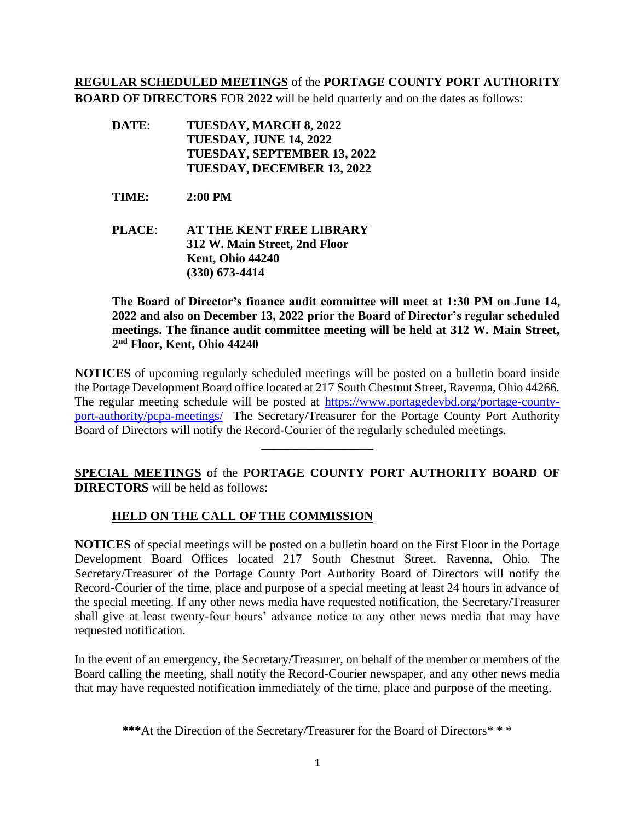## **REGULAR SCHEDULED MEETINGS** of the **PORTAGE COUNTY PORT AUTHORITY BOARD OF DIRECTORS** FOR **2022** will be held quarterly and on the dates as follows:

- **DATE**: **TUESDAY, MARCH 8, 2022 TUESDAY, JUNE 14, 2022 TUESDAY, SEPTEMBER 13, 2022 TUESDAY, DECEMBER 13, 2022**
- **TIME: 2:00 PM**
- **PLACE**: **AT THE KENT FREE LIBRARY 312 W. Main Street, 2nd Floor Kent, Ohio 44240 (330) 673-4414**

**The Board of Director's finance audit committee will meet at 1:30 PM on June 14, 2022 and also on December 13, 2022 prior the Board of Director's regular scheduled meetings. The finance audit committee meeting will be held at 312 W. Main Street, 2 nd Floor, Kent, Ohio 44240**

**NOTICES** of upcoming regularly scheduled meetings will be posted on a bulletin board inside the Portage Development Board office located at 217 South Chestnut Street, Ravenna, Ohio 44266. The regular meeting schedule will be posted at [https://www.portagedevbd.org/portage-county](https://www.portagedevbd.org/portage-county-port-authority/pcpa-meetings/)[port-authority/pcpa-meetings/](https://www.portagedevbd.org/portage-county-port-authority/pcpa-meetings/) The Secretary/Treasurer for the Portage County Port Authority Board of Directors will notify the Record-Courier of the regularly scheduled meetings.

**SPECIAL MEETINGS** of the **PORTAGE COUNTY PORT AUTHORITY BOARD OF DIRECTORS** will be held as follows:

\_\_\_\_\_\_\_\_\_\_\_\_\_\_\_\_\_\_

## **HELD ON THE CALL OF THE COMMISSION**

**NOTICES** of special meetings will be posted on a bulletin board on the First Floor in the Portage Development Board Offices located 217 South Chestnut Street, Ravenna, Ohio. The Secretary/Treasurer of the Portage County Port Authority Board of Directors will notify the Record-Courier of the time, place and purpose of a special meeting at least 24 hours in advance of the special meeting. If any other news media have requested notification, the Secretary/Treasurer shall give at least twenty-four hours' advance notice to any other news media that may have requested notification.

In the event of an emergency, the Secretary/Treasurer, on behalf of the member or members of the Board calling the meeting, shall notify the Record-Courier newspaper, and any other news media that may have requested notification immediately of the time, place and purpose of the meeting.

\*\*\*At the Direction of the Secretary/Treasurer for the Board of Directors<sup>\*\*\*</sup>